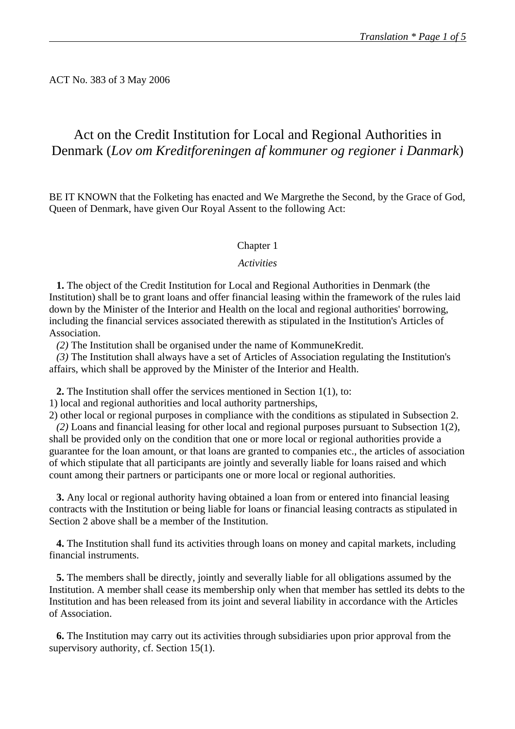ACT No. 383 of 3 May 2006

# Act on the Credit Institution for Local and Regional Authorities in Denmark (*Lov om Kreditforeningen af kommuner og regioner i Danmark*)

BE IT KNOWN that the Folketing has enacted and We Margrethe the Second, by the Grace of God, Queen of Denmark, have given Our Royal Assent to the following Act:

### Chapter 1

#### *Activities*

**1.** The object of the Credit Institution for Local and Regional Authorities in Denmark (the Institution) shall be to grant loans and offer financial leasing within the framework of the rules laid down by the Minister of the Interior and Health on the local and regional authorities' borrowing, including the financial services associated therewith as stipulated in the Institution's Articles of Association.

*(2)* The Institution shall be organised under the name of KommuneKredit.

*(3)* The Institution shall always have a set of Articles of Association regulating the Institution's affairs, which shall be approved by the Minister of the Interior and Health.

**2.** The Institution shall offer the services mentioned in Section 1(1), to:

1) local and regional authorities and local authority partnerships,

2) other local or regional purposes in compliance with the conditions as stipulated in Subsection 2. *(2)* Loans and financial leasing for other local and regional purposes pursuant to Subsection 1(2), shall be provided only on the condition that one or more local or regional authorities provide a guarantee for the loan amount, or that loans are granted to companies etc., the articles of association of which stipulate that all participants are jointly and severally liable for loans raised and which count among their partners or participants one or more local or regional authorities.

**3.** Any local or regional authority having obtained a loan from or entered into financial leasing contracts with the Institution or being liable for loans or financial leasing contracts as stipulated in Section 2 above shall be a member of the Institution.

**4.** The Institution shall fund its activities through loans on money and capital markets, including financial instruments.

**5.** The members shall be directly, jointly and severally liable for all obligations assumed by the Institution. A member shall cease its membership only when that member has settled its debts to the Institution and has been released from its joint and several liability in accordance with the Articles of Association.

**6.** The Institution may carry out its activities through subsidiaries upon prior approval from the supervisory authority, cf. Section 15(1).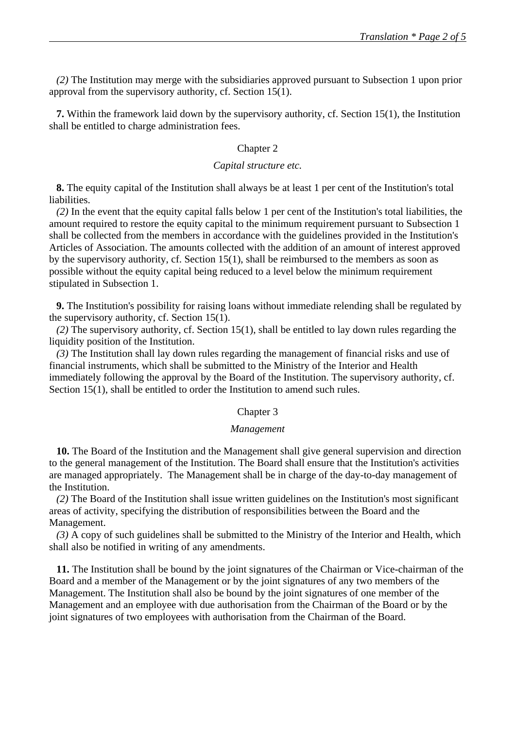*(2)* The Institution may merge with the subsidiaries approved pursuant to Subsection 1 upon prior approval from the supervisory authority, cf. Section 15(1).

**7.** Within the framework laid down by the supervisory authority, cf. Section 15(1), the Institution shall be entitled to charge administration fees.

#### Chapter 2

#### *Capital structure etc.*

**8.** The equity capital of the Institution shall always be at least 1 per cent of the Institution's total liabilities.

*(2)* In the event that the equity capital falls below 1 per cent of the Institution's total liabilities, the amount required to restore the equity capital to the minimum requirement pursuant to Subsection 1 shall be collected from the members in accordance with the guidelines provided in the Institution's Articles of Association. The amounts collected with the addition of an amount of interest approved by the supervisory authority, cf. Section 15(1), shall be reimbursed to the members as soon as possible without the equity capital being reduced to a level below the minimum requirement stipulated in Subsection 1.

**9.** The Institution's possibility for raising loans without immediate relending shall be regulated by the supervisory authority, cf. Section 15(1).

*(2)* The supervisory authority, cf. Section 15(1), shall be entitled to lay down rules regarding the liquidity position of the Institution.

*(3)* The Institution shall lay down rules regarding the management of financial risks and use of financial instruments, which shall be submitted to the Ministry of the Interior and Health immediately following the approval by the Board of the Institution. The supervisory authority, cf. Section 15(1), shall be entitled to order the Institution to amend such rules.

#### Chapter 3

#### *Management*

**10.** The Board of the Institution and the Management shall give general supervision and direction to the general management of the Institution. The Board shall ensure that the Institution's activities are managed appropriately. The Management shall be in charge of the day-to-day management of the Institution.

*(2)* The Board of the Institution shall issue written guidelines on the Institution's most significant areas of activity, specifying the distribution of responsibilities between the Board and the Management.

*(3)* A copy of such guidelines shall be submitted to the Ministry of the Interior and Health, which shall also be notified in writing of any amendments.

**11.** The Institution shall be bound by the joint signatures of the Chairman or Vice-chairman of the Board and a member of the Management or by the joint signatures of any two members of the Management. The Institution shall also be bound by the joint signatures of one member of the Management and an employee with due authorisation from the Chairman of the Board or by the joint signatures of two employees with authorisation from the Chairman of the Board.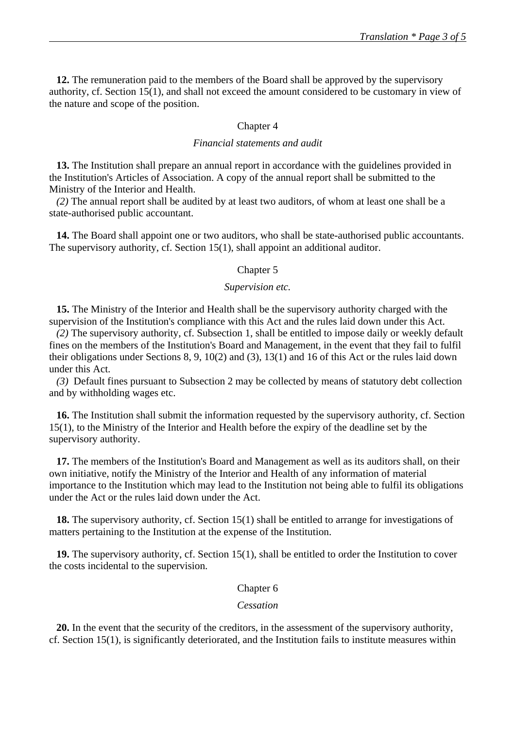**12.** The remuneration paid to the members of the Board shall be approved by the supervisory authority, cf. Section 15(1), and shall not exceed the amount considered to be customary in view of the nature and scope of the position.

#### Chapter 4

#### *Financial statements and audit*

**13.** The Institution shall prepare an annual report in accordance with the guidelines provided in the Institution's Articles of Association. A copy of the annual report shall be submitted to the Ministry of the Interior and Health.

*(2)* The annual report shall be audited by at least two auditors, of whom at least one shall be a state-authorised public accountant.

**14.** The Board shall appoint one or two auditors, who shall be state-authorised public accountants. The supervisory authority, cf. Section 15(1), shall appoint an additional auditor.

#### Chapter 5

#### *Supervision etc.*

**15.** The Ministry of the Interior and Health shall be the supervisory authority charged with the supervision of the Institution's compliance with this Act and the rules laid down under this Act.

*(2)* The supervisory authority, cf. Subsection 1, shall be entitled to impose daily or weekly default fines on the members of the Institution's Board and Management, in the event that they fail to fulfil their obligations under Sections 8, 9, 10(2) and (3), 13(1) and 16 of this Act or the rules laid down under this Act.

*(3)* Default fines pursuant to Subsection 2 may be collected by means of statutory debt collection and by withholding wages etc.

**16.** The Institution shall submit the information requested by the supervisory authority, cf. Section 15(1), to the Ministry of the Interior and Health before the expiry of the deadline set by the supervisory authority.

**17.** The members of the Institution's Board and Management as well as its auditors shall, on their own initiative, notify the Ministry of the Interior and Health of any information of material importance to the Institution which may lead to the Institution not being able to fulfil its obligations under the Act or the rules laid down under the Act.

**18.** The supervisory authority, cf. Section 15(1) shall be entitled to arrange for investigations of matters pertaining to the Institution at the expense of the Institution.

**19.** The supervisory authority, cf. Section 15(1), shall be entitled to order the Institution to cover the costs incidental to the supervision.

## Chapter 6

#### *Cessation*

**20.** In the event that the security of the creditors, in the assessment of the supervisory authority, cf. Section 15(1), is significantly deteriorated, and the Institution fails to institute measures within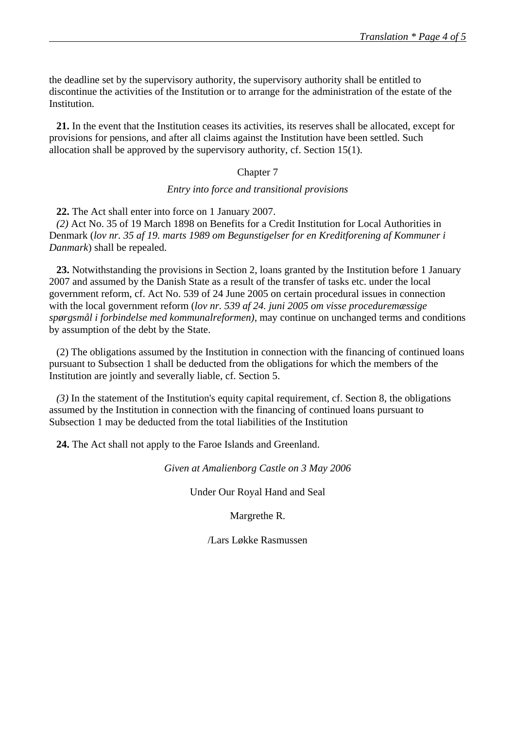the deadline set by the supervisory authority, the supervisory authority shall be entitled to discontinue the activities of the Institution or to arrange for the administration of the estate of the Institution.

**21.** In the event that the Institution ceases its activities, its reserves shall be allocated, except for provisions for pensions, and after all claims against the Institution have been settled. Such allocation shall be approved by the supervisory authority, cf. Section 15(1).

#### Chapter 7

#### *Entry into force and transitional provisions*

**22.** The Act shall enter into force on 1 January 2007.

*(2)* Act No. 35 of 19 March 1898 on Benefits for a Credit Institution for Local Authorities in Denmark (*lov nr. 35 af 19. marts 1989 om Begunstigelser for en Kreditforening af Kommuner i Danmark*) shall be repealed.

**23.** Notwithstanding the provisions in Section 2, loans granted by the Institution before 1 January 2007 and assumed by the Danish State as a result of the transfer of tasks etc. under the local government reform, cf. Act No. 539 of 24 June 2005 on certain procedural issues in connection with the local government reform (*lov nr. 539 af 24. juni 2005 om visse proceduremæssige spørgsmål i forbindelse med kommunalreformen)*, may continue on unchanged terms and conditions by assumption of the debt by the State.

(2) The obligations assumed by the Institution in connection with the financing of continued loans pursuant to Subsection 1 shall be deducted from the obligations for which the members of the Institution are jointly and severally liable, cf. Section 5.

*(3)* In the statement of the Institution's equity capital requirement, cf. Section 8, the obligations assumed by the Institution in connection with the financing of continued loans pursuant to Subsection 1 may be deducted from the total liabilities of the Institution

**24.** The Act shall not apply to the Faroe Islands and Greenland.

*Given at Amalienborg Castle on 3 May 2006* 

Under Our Royal Hand and Seal

Margrethe R.

/Lars Løkke Rasmussen